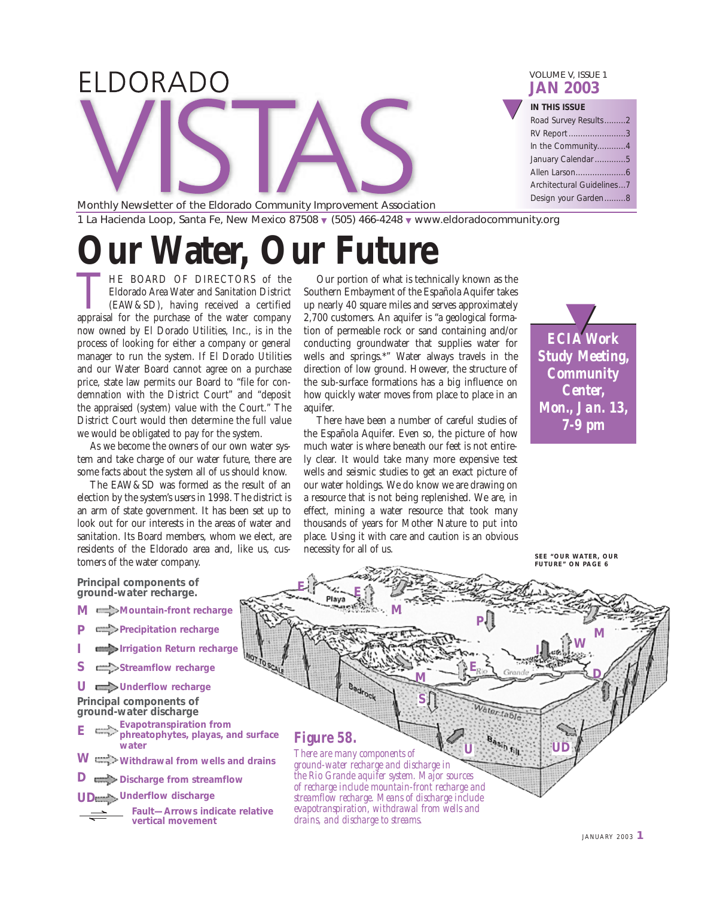| ELDORADO |  | VOLUME V, ISSUE 1<br><b>JAN 2003</b> |
|----------|--|--------------------------------------|
|          |  | IN THIS ISSUE                        |
|          |  | Road Survey Results2                 |
|          |  | RV Report 3                          |
|          |  | In the Community4                    |
|          |  | January Calendar 5                   |
|          |  |                                      |
|          |  | Architectural Guidelines7            |
|          |  | Design your Garden8                  |

Monthly Newsletter of the Eldorado Community Improvement Association 1 La Hacienda Loop, Santa Fe, New Mexico 87508 ▼ (505) 466-4248 ▼ www.eldoradocommunity.org

# **UIT Water, Our Future**

THE BOARD OF DIRECTORS of the Eldorado Area Water and Sanitation District (EAW&SD), having received a certified appraisal for the purchase of the water company Eldorado Area Water and Sanitation District (EAW&SD), having received a certified now owned by El Dorado Utilities, Inc., is in the process of looking for either a company or general manager to run the system. If El Dorado Utilities and our Water Board cannot agree on a purchase price, state law permits our Board to "file for condemnation with the District Court" and "deposit the appraised (system) value with the Court." The District Court would then determine the full value we would be obligated to pay for the system.

As we become the owners of our own water system and take charge of our water future, there are some facts about the system all of us should know.

The EAW&SD was formed as the result of an election by the system's users in 1998. The district is an arm of state government. It has been set up to look out for our interests in the areas of water and sanitation. Its Board members, whom we elect, are residents of the Eldorado area and, like us, customers of the water company.

#### **Principal components of ground-water recharge.**

- **Mountain-front recharge M**
- **Precipitation recharge P**
- **Irrigation Return recharge I**
- Streamflow recharge **S**
- U **U** Underflow recharge **Principal components of**

**ground-water discharge**

- **Evapotranspiration from phreatophytes, playas, and surface water E**
- **Withdrawal from wells and drains W**
- **Discharge from streamflow D**

#### **Underflow discharge UD**



Our portion of what is technically known as the Southern Embayment of the Española Aquifer takes up nearly 40 square miles and serves approximately 2,700 customers. An aquifer is "a geological formation of permeable rock or sand containing and/or conducting groundwater that supplies water for wells and springs.\*" Water always travels in the direction of low ground. However, the structure of the sub-surface formations has a big influence on how quickly water moves from place to place in an aquifer.

There have been a number of careful studies of the Española Aquifer. Even so, the picture of how much water is where beneath our feet is not entirely clear. It would take many more expensive test wells and seismic studies to get an exact picture of our water holdings. We do know we are drawing on a resource that is not being replenished. We are, in effect, mining a water resource that took many thousands of years for Mother Nature to put into place. Using it with care and caution is an obvious necessity for all of us.



**SEE "OUR WATER, OUR FUTURE" ON PAGE 6**



JANUARY 2003 **1**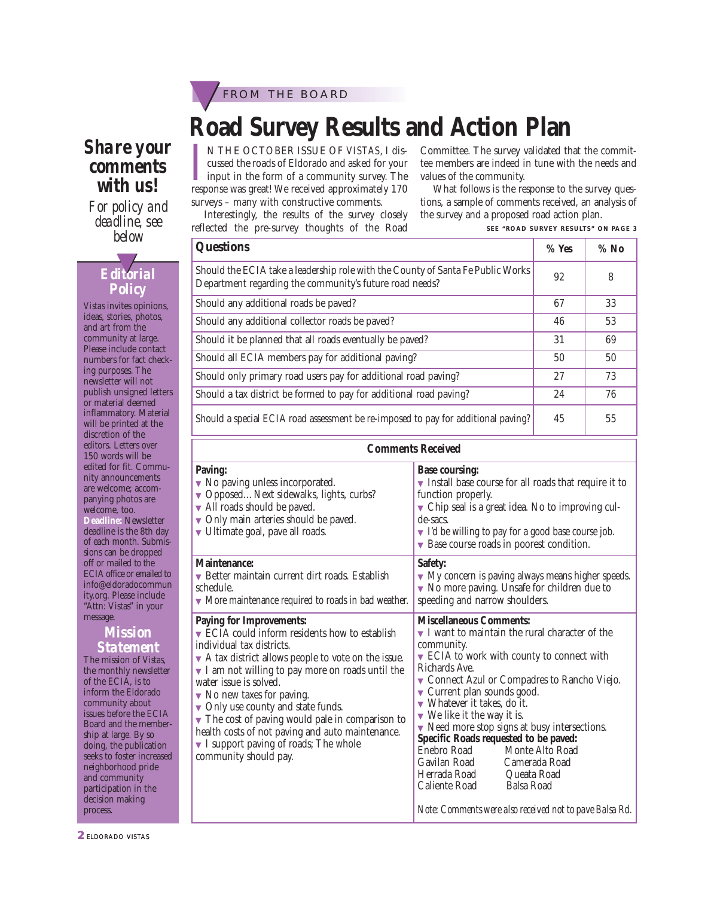

### *Share your comments with us!*

*For policy and deadline, see below*

### *Editorial* ▼ *Policy*

*Vistas* invites opinions, ideas, stories, photos, and art from the community at large. Please include contact numbers for fact checking purposes. The newsletter will not publish unsigned letters or material deemed inflammatory. Material will be printed at the discretion of the editors. Letters over 150 words will be edited for fit. Community announcements are welcome; accompanying photos are welcome, too. **Deadline:** Newsletter deadline is the 8th day of each month. Submissions can be dropped off or mailed to the ECIA office or emailed to info@eldoradocommun ity.org. Please include "Attn: Vistas" in your message.

#### *Mission Statement*

The mission of *Vistas*, the monthly newsletter of the ECIA, is to inform the Eldorado community about issues before the ECIA Board and the membership at large. By so doing, the publication seeks to foster increased neighborhood pride and community participation in the decision making process.

**Road Survey Results and Action Plan**

IN THE OCTOBER ISSUE OF *VISTAS*, I discussed the roads of Eldorado and asked for your input in the form of a community survey. The response was great! We received approximately 170 N THE OCTOBER ISSUE OF *VISTAS*, I discussed the roads of Eldorado and asked for your Linput in the form of a community survey. The surveys – many with constructive comments.

Interestingly, the results of the survey closely reflected the pre-survey thoughts of the Road

Committee. The survey validated that the committee members are indeed in tune with the needs and values of the community.

What follows is the response to the survey questions, a sample of comments received, an analysis of the survey and a proposed road action plan.

**SEE "ROAD SURVEY RESULTS" ON PAGE 3**

| <b>Questions</b>                                                                                                                           |    | $%$ No |
|--------------------------------------------------------------------------------------------------------------------------------------------|----|--------|
| Should the ECIA take a leadership role with the County of Santa Fe Public Works<br>Department regarding the community's future road needs? |    | 8      |
| Should any additional roads be paved?                                                                                                      | 67 | 33     |
| Should any additional collector roads be paved?                                                                                            |    | 53     |
| Should it be planned that all roads eventually be paved?                                                                                   | 31 | 69     |
| Should all ECIA members pay for additional paving?                                                                                         | 50 | 50     |
| Should only primary road users pay for additional road paving?                                                                             |    | 73     |
| Should a tax district be formed to pay for additional road paving?                                                                         |    | 76     |
| Should a special ECIA road assessment be re-imposed to pay for additional paving?                                                          | 45 | 55     |

#### **Comments Received Paving:** ▼ No paving unless incorporated. ▼ Opposed…Next sidewalks, lights, curbs? ▼ All roads should be paved. ▼ Only main arteries should be paved. ▼ Ultimate goal, pave all roads. **Base coursing:** ▼ Install base course for all roads that require it to function properly.  $\blacktriangledown$  Chip seal is a great idea. No to improving culde-sacs.  $\blacktriangledown$  I'd be willing to pay for a good base course job. ▼ Base course roads in poorest condition. **Maintenance:** ▼ Better maintain current dirt roads. Establish schedule. ▼ More maintenance required to roads in bad weather. **Safety:** ▼ My concern is paving always means higher speeds. ▼ No more paving. Unsafe for children due to speeding and narrow shoulders. **Paying for Improvements:** ▼ ECIA could inform residents how to establish individual tax districts. ▼ A tax district allows people to vote on the issue. ▼ I am not willing to pay more on roads until the water issue is solved. ▼ No new taxes for paving. ▼ Only use county and state funds.  $\blacktriangledown$  The cost of paving would pale in comparison to health costs of not paving and auto maintenance. ▼ I support paving of roads; The whole community should pay. **Miscellaneous Comments:** ▼ I want to maintain the rural character of the community. ▼ ECIA to work with county to connect with Richards Ave. ▼ Connect Azul or Compadres to Rancho Viejo. ▼ Current plan sounds good. ▼ Whatever it takes, do it.  $\blacktriangledown$  We like it the way it is. ▼ Need more stop signs at busy intersections. **Specific Roads requested to be paved:** Enebro Road Monte Alto Road<br>Gavilan Road Camerada Road Camerada Road<br>Queata Road Herrada Road Queata Road Caliente Road *Note: Comments were also received not to pave Balsa Rd.*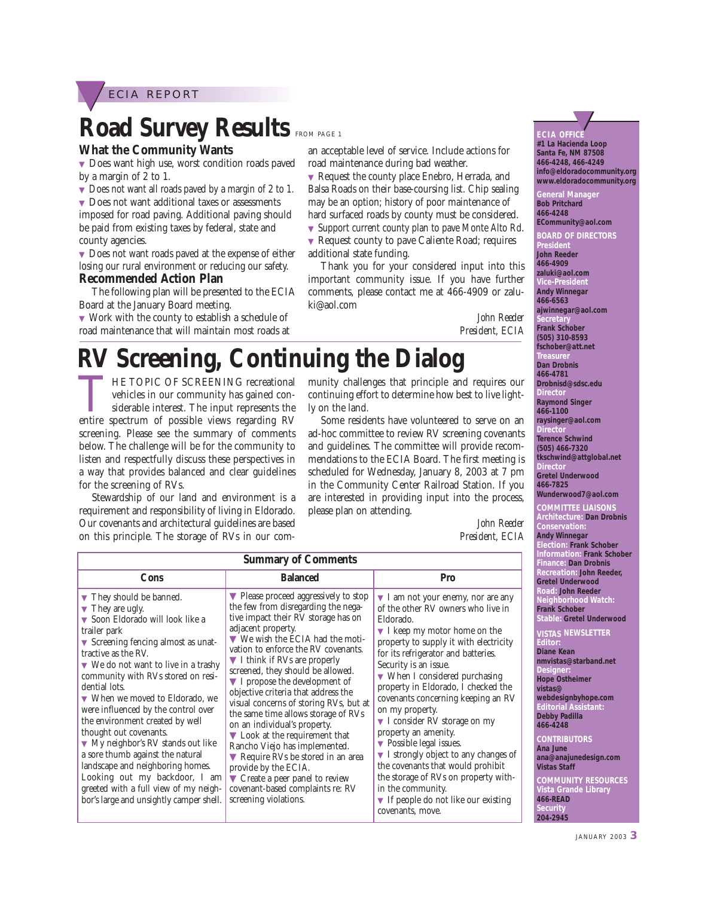

## **Road Survey Results FROM PAGE 1**

#### **What the Community Wants**

▼ Does want high use, worst condition roads paved by a margin of 2 to 1.

▼ Does not want all roads paved by a margin of 2 to 1.

▼ Does not want additional taxes or assessments imposed for road paving. Additional paving should be paid from existing taxes by federal, state and county agencies.

▼ Does not want roads paved at the expense of either losing our rural environment or reducing our safety. **Recommended Action Plan**

The following plan will be presented to the ECIA Board at the January Board meeting.

▼ Work with the county to establish a schedule of road maintenance that will maintain most roads at an acceptable level of service. Include actions for road maintenance during bad weather.

▼ Request the county place Enebro, Herrada, and Balsa Roads on their base-coursing list. Chip sealing may be an option; history of poor maintenance of hard surfaced roads by county must be considered.

▼ Support current county plan to pave Monte Alto Rd.

▼ Request county to pave Caliente Road; requires additional state funding.

Thank you for your considered input into this important community issue. If you have further comments, please contact me at 466-4909 or zaluki@aol.com

> *John Reeder President, ECIA*

# **RV Screening, Continuing the Dialog**

THE TOPIC OF SCREENING recreational<br>vehicles in our community has gained con-<br>siderable interest. The input represents the<br>entire spectrum of possible views regarding RV vehicles in our community has gained considerable interest. The input represents the entire spectrum of possible views regarding RV screening. Please see the summary of comments below. The challenge will be for the community to listen and respectfully discuss these perspectives in a way that provides balanced and clear guidelines for the screening of RVs.

Stewardship of our land and environment is a requirement and responsibility of living in Eldorado. Our covenants and architectural guidelines are based on this principle. The storage of RVs in our community challenges that principle and requires our continuing effort to determine how best to live lightly on the land.

Some residents have volunteered to serve on an ad-hoc committee to review RV screening covenants and guidelines. The committee will provide recommendations to the ECIA Board. The first meeting is scheduled for Wednesday, January 8, 2003 at 7 pm in the Community Center Railroad Station. If you are interested in providing input into the process, please plan on attending.

> *John Reeder President, ECIA*

| <b>Summary of Comments</b>                                                                                                                                                                                                                                                                                                                                                                                                                                                                                                                                                                                                                                                                                          |                                                                                                                                                                                                                                                                                                                                                                                                                                                                                                                                                                                                                                                                                                                                                                                                                  |                                                                                                                                                                                                                                                                                                                                                                                                                                                                                                                                                                                                                                                                                                                                                                                 |  |  |
|---------------------------------------------------------------------------------------------------------------------------------------------------------------------------------------------------------------------------------------------------------------------------------------------------------------------------------------------------------------------------------------------------------------------------------------------------------------------------------------------------------------------------------------------------------------------------------------------------------------------------------------------------------------------------------------------------------------------|------------------------------------------------------------------------------------------------------------------------------------------------------------------------------------------------------------------------------------------------------------------------------------------------------------------------------------------------------------------------------------------------------------------------------------------------------------------------------------------------------------------------------------------------------------------------------------------------------------------------------------------------------------------------------------------------------------------------------------------------------------------------------------------------------------------|---------------------------------------------------------------------------------------------------------------------------------------------------------------------------------------------------------------------------------------------------------------------------------------------------------------------------------------------------------------------------------------------------------------------------------------------------------------------------------------------------------------------------------------------------------------------------------------------------------------------------------------------------------------------------------------------------------------------------------------------------------------------------------|--|--|
| Cons                                                                                                                                                                                                                                                                                                                                                                                                                                                                                                                                                                                                                                                                                                                | <b>Balanced</b>                                                                                                                                                                                                                                                                                                                                                                                                                                                                                                                                                                                                                                                                                                                                                                                                  | Pro                                                                                                                                                                                                                                                                                                                                                                                                                                                                                                                                                                                                                                                                                                                                                                             |  |  |
| ▼ They should be banned.<br>$\blacktriangledown$ They are ugly.<br>▼ Soon Eldorado will look like a<br>trailer park<br>$\blacktriangledown$ Screening fencing almost as unat-<br>tractive as the RV.<br>$\blacktriangledown$ We do not want to live in a trashy<br>community with RVs stored on resi-<br>dential lots.<br>▼ When we moved to Eldorado, we<br>were influenced by the control over<br>the environment created by well<br>thought out covenants.<br>$\blacktriangledown$ My neighbor's RV stands out like<br>a sore thumb against the natural<br>landscape and neighboring homes.<br>Looking out my backdoor, I am<br>greeted with a full view of my neigh-<br>bor's large and unsightly camper shell. | $\blacktriangledown$ Please proceed aggressively to stop<br>the few from disregarding the nega-<br>tive impact their RV storage has on<br>adjacent property.<br>$\blacktriangledown$ We wish the ECIA had the moti-<br>vation to enforce the RV covenants.<br>I think if RVs are properly<br>screened, they should be allowed.<br>$\blacktriangledown$ I propose the development of<br>objective criteria that address the<br>visual concerns of storing RVs, but at<br>the same time allows storage of RVs<br>on an individual's property.<br>$\blacktriangledown$ Look at the requirement that<br>Rancho Viejo has implemented.<br>Require RVs be stored in an area<br>provide by the ECIA.<br>$\blacktriangledown$ Create a peer panel to review<br>covenant-based complaints re: RV<br>screening violations. | $\blacktriangledown$ I am not your enemy, nor are any<br>of the other RV owners who live in<br>Eldorado.<br>$\blacktriangledown$ I keep my motor home on the<br>property to supply it with electricity<br>for its refrigerator and batteries.<br>Security is an issue.<br>$\blacktriangledown$ When I considered purchasing<br>property in Eldorado, I checked the<br>covenants concerning keeping an RV<br>on my property.<br>$\blacktriangledown$ I consider RV storage on my<br>property an amenity.<br>$\blacktriangleright$ Possible legal issues.<br>I strongly object to any changes of<br>the covenants that would prohibit<br>the storage of RVs on property with-<br>in the community.<br>$\blacktriangledown$ If people do not like our existing<br>covenants, move. |  |  |

**#1 La Hacienda Loop Santa Fe, NM 87508 466-4248, 466-4249 info@eldoradocommunity.org www.eldoradocommunity.org**

General Manager **Bob Pritchard 466-4248**

**ECommunity@aol.com BOARD OF DIRECTORS** 

**President John Reeder 466-4909 zaluki@aol.com Vice-President Andy Winnegar 466-6563 ajwinnegar@aol.com Secretary Frank Schober (505) 310-8593 fschober@att.net Treasure Dan Drobnis 466-4781 Drobnisd@sdsc.edu Directo Raymond Singer 466-1100 raysinger@aol.com Director Terence Schwind (505) 466-7320 tkschwind@attglobal.net Director Gretel Underwood 466-7825 Wunderwood7@aol.com COMMITTEE LIAISONS Architecture: Dan Drobnis Conservation: Andy Winnegar Election: Frank Schober** 

**In: Frank Schober Finance: Dan Drobnis Recreation: John Reeder, Underwood Road: John Reeder Norhood Watch: Schober** 

**Stable: Gretel Underwood** 

**NEWSLETTER Diane Kean nmvistas@starband.net Designer: Dstheimer** 

**vistas@**  $\mathsf{e}\mathsf{s}\mathsf{i}\mathsf{g}$ nbyhope.com **Editorial Assistant: Padilla 466-4248**

**CONTRIBUTORS**

**Ana June ana@anajunedesign.com Staff** 

**COMMUNITY RESOURCES Vande Library 40-AD Security 204-2945**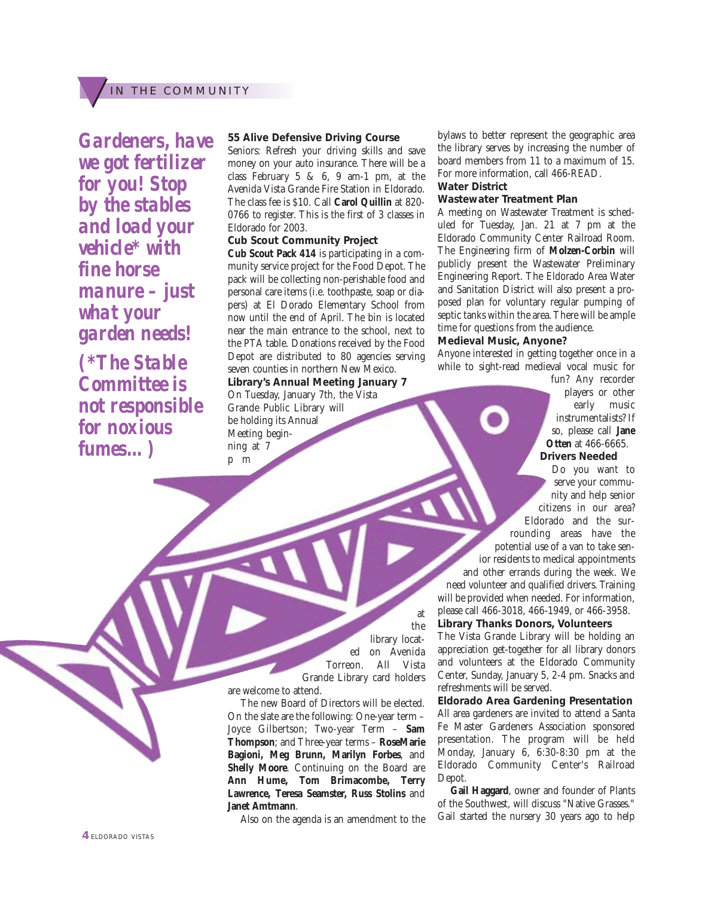### IN THE COMMUNITY

*Gardeners, have we got fertilizer for you! Stop by the stables and load your vehicle\* with fine horse manure – just what your garden needs! (\*The Stable Committee is not responsible for noxious fumes…)*

#### **55 Alive Defensive Driving Course**

Seniors: Refresh your driving skills and save money on your auto insurance. There will be a class February  $5 \& 6, 9$  am-1 pm, at the Avenida Vista Grande Fire Station in Eldorado. The class fee is \$10. Call **Carol Quillin** at 820- 0766 to register. This is the first of 3 classes in Eldorado for 2003.

#### **Cub Scout Community Project**

**Cub Scout Pack 414** is participating in a community service project for the Food Depot. The pack will be collecting non-perishable food and personal care items (i.e. toothpaste, soap or diapers) at El Dorado Elementary School from now until the end of April. The bin is located near the main entrance to the school, next to the PTA table. Donations received by the Food Depot are distributed to 80 agencies serving seven counties in northern New Mexico. **Library's Annual Meeting January 7**  On Tuesday, January 7th, the Vista Grande Public Library will be holding its Annual Meeting beginning at 7 p m

bylaws to better represent the geographic area the library serves by increasing the number of board members from 11 to a maximum of 15. For more information, call 466-READ. **Water District**

#### **Wastewater Treatment Plan**

A meeting on Wastewater Treatment is scheduled for Tuesday, Jan. 21 at 7 pm at the Eldorado Community Center Railroad Room. The Engineering firm of **Molzen-Corbin** will publicly present the Wastewater Preliminary Engineering Report. The Eldorado Area Water and Sanitation District will also present a proposed plan for voluntary regular pumping of septic tanks within the area. There will be ample time for questions from the audience.

#### **Medieval Music, Anyone?**

Anyone interested in getting together once in a while to sight-read medieval vocal music for

> fun? Any recorder players or other early music instrumentalists? If so, please call **Jane Otten** at 466-6665. **Drivers Needed**

Do you want to serve your community and help senior citizens in our area? Eldorado and the surrounding areas have the potential use of a van to take senior residents to medical appointments and other errands during the week. We need volunteer and qualified drivers. Training will be provided when needed. For information, please call 466-3018, 466-1949, or 466-3958.

**Library Thanks Donors, Volunteers**

The Vista Grande Library will be holding an appreciation get-together for all library donors and volunteers at the Eldorado Community Center, Sunday, January 5, 2-4 pm. Snacks and refreshments will be served.

**Eldorado Area Gardening Presentation** All area gardeners are invited to attend a Santa Fe Master Gardeners Association sponsored presentation. The program will be held Monday, January 6, 6:30-8:30 pm at the Eldorado Community Center's Railroad Depot.

**Gail Haggard**, owner and founder of Plants of the Southwest, will discuss "Native Grasses." Gail started the nursery 30 years ago to help

the library located on Avenida Torreon. All Vista Grande Library card holders

at

are welcome to attend.

The new Board of Directors will be elected. On the slate are the following: One-year term – Joyce Gilbertson; Two-year Term – **Sam Thompson**; and Three-year terms – **RoseMarie Bagioni, Meg Brunn, Marilyn Forbes**, and **Shelly Moore**. Continuing on the Board are **Ann Hume, Tom Brimacombe, Terry Lawrence, Teresa Seamster, Russ Stolins** and **Janet Amtmann**.

Also on the agenda is an amendment to the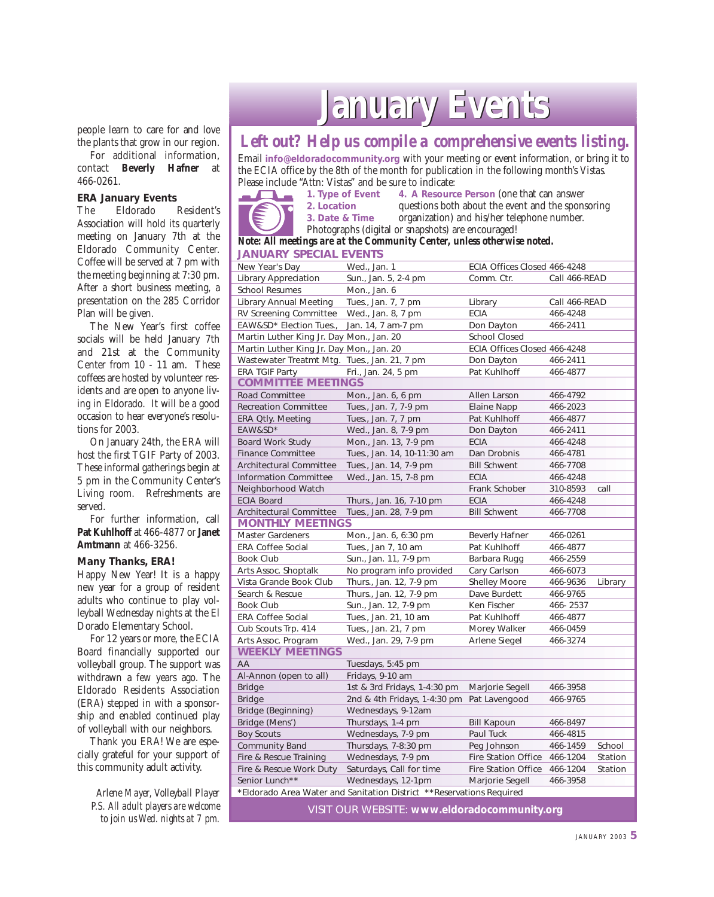people learn to care for and love the plants that grow in our region.

For additional information, contact **Beverly Hafner** at 466-0261.

#### **ERA January Events**

The Eldorado Resident's Association will hold its quarterly meeting on January 7th at the Eldorado Community Center. Coffee will be served at 7 pm with the meeting beginning at 7:30 pm. After a short business meeting, a presentation on the 285 Corridor Plan will be given.

The New Year's first coffee socials will be held January 7th and 21st at the Community Center from 10 - 11 am. These coffees are hosted by volunteer residents and are open to anyone living in Eldorado. It will be a good occasion to hear everyone's resolutions for 2003.

On January 24th, the ERA will host the first TGIF Party of 2003. These informal gatherings begin at 5 pm in the Community Center's Living room. Refreshments are served.

For further information, call **Pat Kuhlhoff** at 466-4877 or **Janet Amtmann** at 466-3256.

**Many Thanks, ERA!**

Happy New Year! It is a happy new year for a group of resident adults who continue to play volleyball Wednesday nights at the El Dorado Elementary School.

For 12 years or more, the ECIA Board financially supported our volleyball group. The support was withdrawn a few years ago. The Eldorado Residents Association (ERA) stepped in with a sponsorship and enabled continued play of volleyball with our neighbors.

Thank you ERA! We are especially grateful for your support of this community adult activity.

> *Arlene Mayer, Volleyball Player P.S. All adult players are welcome to join us Wed. nights at 7 pm.*

## **January Events anuary Events**

### *Left out? Help us compile a comprehensive events listing.*

Email **info@eldoradocommunity.org** with your meeting or event information, or bring it to the ECIA office by the 8th of the month for publication in the following month's *Vistas.* Please include "Attn: Vistas" and be sure to indicate:<br>1. Type of Event 4. A Resource

 $\overline{\phantom{a}}$ 

**4. A Resource Person (one that can answer)** 2. Location **questions both about the event and the sponsoring**<br> **3.** Date & Time organization) and his/her telephone number. organization) and his/her telephone number.

Photographs (digital or snapshots) are encouraged!

#### **JANUARY SPECIAL EVENTS** *Note: All meetings are at the Community Center, unless otherwise noted.*

| New Year's Day                                                       | Wed., Jan. 1                 | ECIA Offices Closed 466-4248 |               |         |  |  |  |  |
|----------------------------------------------------------------------|------------------------------|------------------------------|---------------|---------|--|--|--|--|
| Library Appreciation                                                 | Sun., Jan. 5, 2-4 pm         | Comm. Ctr.                   | Call 466-READ |         |  |  |  |  |
| <b>School Resumes</b>                                                | Mon., Jan. 6                 |                              |               |         |  |  |  |  |
| Library Annual Meeting                                               | Tues., Jan. 7, 7 pm          | Library                      | Call 466-READ |         |  |  |  |  |
| RV Screening Committee                                               | Wed., Jan. 8, 7 pm           | <b>ECIA</b>                  | 466-4248      |         |  |  |  |  |
| EAW&SD* Election Tues.,                                              | Jan. 14, 7 am-7 pm           | Don Dayton                   | 466-2411      |         |  |  |  |  |
| Martin Luther King Jr. Day Mon., Jan. 20                             |                              | <b>School Closed</b>         |               |         |  |  |  |  |
| Martin Luther King Jr. Day Mon., Jan. 20                             |                              | ECIA Offices Closed 466-4248 |               |         |  |  |  |  |
| Wastewater Treatmt Mtg. Tues., Jan. 21, 7 pm                         |                              | Don Dayton                   | 466-2411      |         |  |  |  |  |
| <b>ERA TGIF Party</b>                                                | Fri., Jan. 24, 5 pm          | Pat Kuhlhoff                 | 466-4877      |         |  |  |  |  |
| <b>COMMITTEE MEE</b>                                                 | INGS                         |                              |               |         |  |  |  |  |
| <b>Road Committee</b>                                                | Mon., Jan. 6, 6 pm           | Allen Larson                 | 466-4792      |         |  |  |  |  |
| <b>Recreation Committee</b>                                          | Tues., Jan. 7, 7-9 pm        | <b>Elaine Napp</b>           | 466-2023      |         |  |  |  |  |
| <b>ERA Qtly. Meeting</b>                                             | Tues., Jan. 7, 7 pm          | Pat Kuhlhoff                 | 466-4877      |         |  |  |  |  |
| EAW&SD*                                                              | Wed., Jan. 8, 7-9 pm         | Don Dayton                   | 466-2411      |         |  |  |  |  |
| <b>Board Work Study</b>                                              | Mon., Jan. 13, 7-9 pm        | <b>ECIA</b>                  | 466-4248      |         |  |  |  |  |
| <b>Finance Committee</b>                                             | Tues., Jan. 14, 10-11:30 am  | Dan Drobnis                  | 466-4781      |         |  |  |  |  |
| <b>Architectural Committee</b>                                       | Tues., Jan. 14, 7-9 pm       | <b>Bill Schwent</b>          | 466-7708      |         |  |  |  |  |
| <b>Information Committee</b>                                         | Wed., Jan. 15, 7-8 pm        | <b>ECIA</b>                  | 466-4248      |         |  |  |  |  |
| Neighborhood Watch                                                   |                              | Frank Schober                | 310-8593      | call    |  |  |  |  |
| <b>ECIA Board</b>                                                    | Thurs., Jan. 16, 7-10 pm     | <b>ECIA</b>                  | 466-4248      |         |  |  |  |  |
| Architectural Committee                                              | Tues., Jan. 28, 7-9 pm       | <b>Bill Schwent</b>          | 466-7708      |         |  |  |  |  |
| <b>MONTHLY MEETINGS</b>                                              |                              |                              |               |         |  |  |  |  |
| <b>Master Gardeners</b>                                              | Mon., Jan. 6, 6:30 pm        | <b>Beverly Hafner</b>        | 466-0261      |         |  |  |  |  |
| <b>ERA Coffee Social</b>                                             | Tues., Jan 7, 10 am          | Pat Kuhlhoff                 | 466-4877      |         |  |  |  |  |
| Book Club                                                            | Sun., Jan. 11, 7-9 pm        | Barbara Rugg                 | 466-2559      |         |  |  |  |  |
| Arts Assoc. Shoptalk                                                 | No program info provided     | Cary Carlson                 | 466-6073      |         |  |  |  |  |
| Vista Grande Book Club                                               | Thurs., Jan. 12, 7-9 pm      | <b>Shelley Moore</b>         | 466-9636      | Library |  |  |  |  |
| Search & Rescue                                                      | Thurs., Jan. 12, 7-9 pm      | Dave Burdett                 | 466-9765      |         |  |  |  |  |
| <b>Book Club</b>                                                     | Sun., Jan. 12, 7-9 pm        | Ken Fischer                  | 466-2537      |         |  |  |  |  |
| <b>ERA Coffee Social</b>                                             | Tues., Jan. 21, 10 am        | Pat Kuhlhoff                 | 466-4877      |         |  |  |  |  |
| Cub Scouts Trp. 414                                                  | Tues., Jan. 21, 7 pm         | Morey Walker                 | 466-0459      |         |  |  |  |  |
| Arts Assoc. Program                                                  | Wed., Jan. 29, 7-9 pm        | Arlene Siegel                | 466-3274      |         |  |  |  |  |
| <b>WEEKLY MEETINGS</b>                                               |                              |                              |               |         |  |  |  |  |
| AA                                                                   | Tuesdays, 5:45 pm            |                              |               |         |  |  |  |  |
| Al-Annon (open to all)                                               | Fridays, 9-10 am             |                              |               |         |  |  |  |  |
| <b>Bridge</b>                                                        | 1st & 3rd Fridays, 1-4:30 pm | Marjorie Segell              | 466-3958      |         |  |  |  |  |
| <b>Bridge</b>                                                        | 2nd & 4th Fridays, 1-4:30 pm | Pat Lavengood                | 466-9765      |         |  |  |  |  |
| Bridge (Beginning)                                                   | Wednesdays, 9-12am           |                              |               |         |  |  |  |  |
| Bridge (Mens')                                                       | Thursdays, 1-4 pm            | <b>Bill Kapoun</b>           | 466-8497      |         |  |  |  |  |
| <b>Boy Scouts</b>                                                    | Wednesdays, 7-9 pm           | Paul Tuck                    | 466-4815      |         |  |  |  |  |
| <b>Community Band</b>                                                | Thursdays, 7-8:30 pm         | Peg Johnson                  | 466-1459      | School  |  |  |  |  |
| Fire & Rescue Training                                               | Wednesdays, 7-9 pm           | Fire Station Office          | 466-1204      | Station |  |  |  |  |
| Fire & Rescue Work Duty                                              | Saturdays, Call for time     | <b>Fire Station Office</b>   | 466-1204      | Station |  |  |  |  |
| Senior Lunch**<br>Wednesdays, 12-1pm<br>Marjorie Segell<br>466-3958  |                              |                              |               |         |  |  |  |  |
| *Eldorado Area Water and Sanitation District **Reservations Required |                              |                              |               |         |  |  |  |  |

VISIT OUR WEBSITE: **www.eldoradocommunity.org**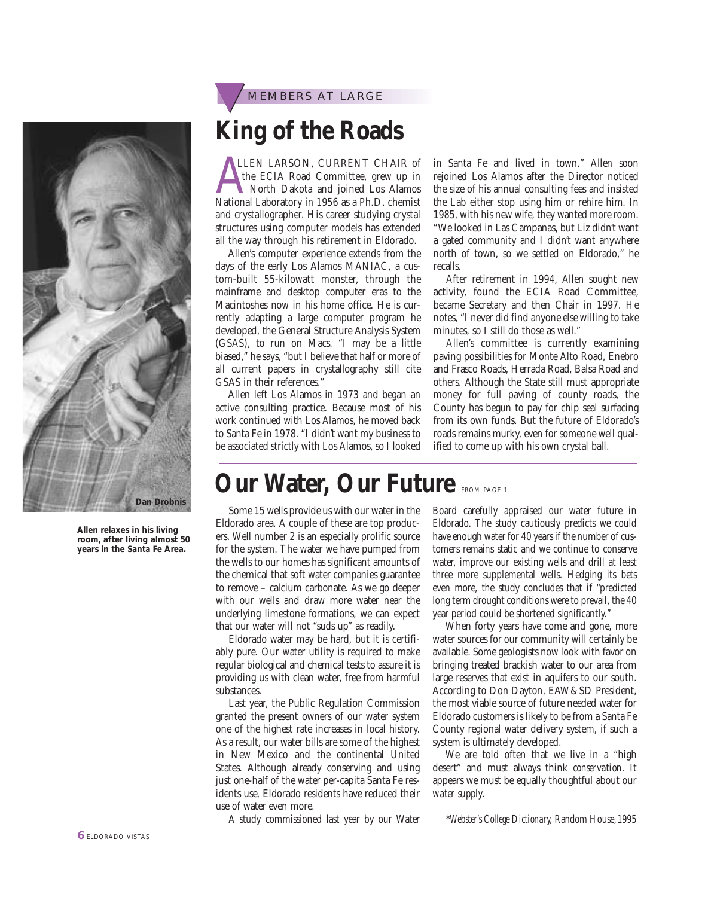

## **King of the Roads**

LLEN LARSON, CURRENT CHAIR of<br>the ECIA Road Committee, grew up in<br>North Dakota and joined Los Alamos<br>National Laboratory in 1956 as a Ph.D. chemist LLEN LARSON, CURRENT CHAIR of the ECIA Road Committee, grew up in North Dakota and joined Los Alamos and crystallographer. His career studying crystal structures using computer models has extended all the way through his retirement in Eldorado.

Allen's computer experience extends from the days of the early Los Alamos MANIAC, a custom-built 55-kilowatt monster, through the mainframe and desktop computer eras to the Macintoshes now in his home office. He is currently adapting a large computer program he developed, the General Structure Analysis System (GSAS), to run on Macs. "I may be a little biased," he says, "but I believe that half or more of all current papers in crystallography still cite GSAS in their references."

Allen left Los Alamos in 1973 and began an active consulting practice. Because most of his work continued with Los Alamos, he moved back to Santa Fe in 1978. "I didn't want my business to be associated strictly with Los Alamos, so I looked in Santa Fe and lived in town." Allen soon rejoined Los Alamos after the Director noticed the size of his annual consulting fees and insisted the Lab either stop using him or rehire him. In 1985, with his new wife, they wanted more room. "We looked in Las Campanas, but Liz didn't want a gated community and I didn't want anywhere north of town, so we settled on Eldorado," he recalls.

After retirement in 1994, Allen sought new activity, found the ECIA Road Committee, became Secretary and then Chair in 1997. He notes, "I never did find anyone else willing to take minutes, so I still do those as well."

Allen's committee is currently examining paving possibilities for Monte Alto Road, Enebro and Frasco Roads, Herrada Road, Balsa Road and others. Although the State still must appropriate money for full paving of county roads, the County has begun to pay for chip seal surfacing from its own funds. But the future of Eldorado's roads remains murky, even for someone well qualified to come up with his own crystal ball.

### **Our Water, Our Future FROM PAGE 1**

Some 15 wells provide us with our water in the Eldorado area. A couple of these are top producers. Well number 2 is an especially prolific source for the system. The water we have pumped from the wells to our homes has significant amounts of the chemical that soft water companies guarantee to remove – calcium carbonate. As we go deeper with our wells and draw more water near the underlying limestone formations, we can expect that our water will not "suds up" as readily.

Eldorado water may be hard, but it is certifiably pure. Our water utility is required to make regular biological and chemical tests to assure it is providing us with clean water, free from harmful substances.

Last year, the Public Regulation Commission granted the present owners of our water system one of the highest rate increases in local history. As a result, our water bills are some of the highest in New Mexico and the continental United States. Although already conserving and using just one-half of the water per-capita Santa Fe residents use, Eldorado residents have reduced their use of water even more.

A study commissioned last year by our Water

Board carefully appraised our water future in Eldorado. The study cautiously predicts we could have enough water for 40 years if the number of customers remains static and we continue to conserve water, improve our existing wells and drill at least three more supplemental wells. Hedging its bets even more, the study concludes that if "predicted long term drought conditions were to prevail, the 40 year period could be shortened significantly."

When forty years have come and gone, more water sources for our community will certainly be available. Some geologists now look with favor on bringing treated brackish water to our area from large reserves that exist in aquifers to our south. According to Don Dayton, EAW&SD President, the most viable source of future needed water for Eldorado customers is likely to be from a Santa Fe County regional water delivery system, if such a system is ultimately developed.

We are told often that we live in a "high desert" and must always think *conservation*. It appears we must be equally thoughtful about our *water supply*.

\**Webster's College Dictionary,* Random House,1995

**Allen relaxes in his living room, after living almost 50 years in the Santa Fe Area. Dan Drobnis**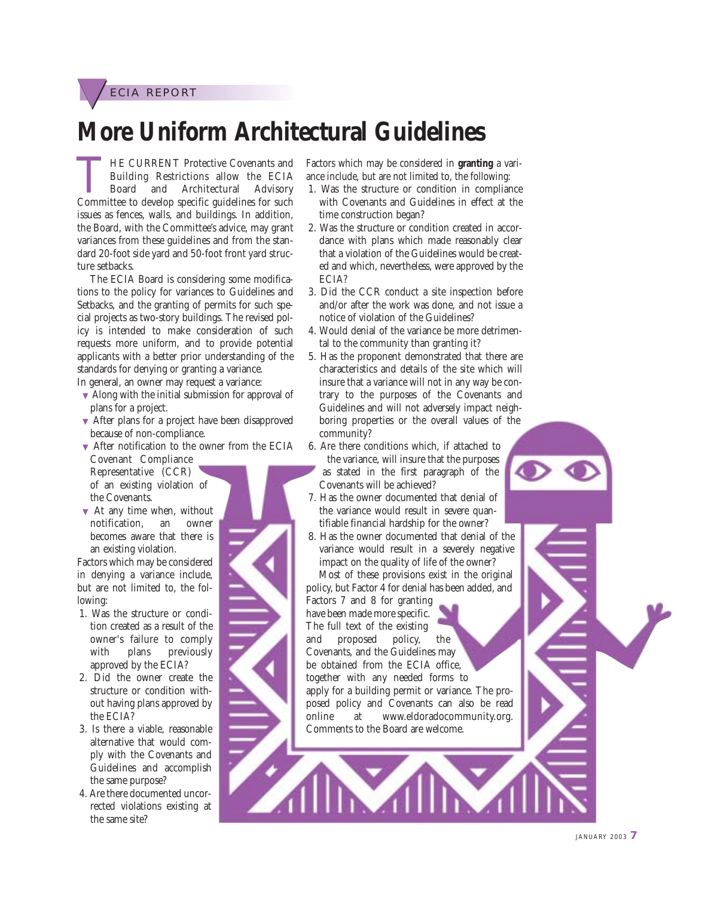ECIA REPORT

### **More Uniform Architectural Guidelines**

THE CURRENT Protective Covenants and<br>
Building Restrictions allow the ECIA<br>
Board and Architectural Advisory<br>
Committee to develop specific guidelines for such Building Restrictions allow the ECIA Board and Architectural Advisory issues as fences, walls, and buildings. In addition, the Board, with the Committee's advice, may grant variances from these guidelines and from the standard 20-foot side yard and 50-foot front yard structure setbacks.

The ECIA Board is considering some modifications to the policy for variances to Guidelines and Setbacks, and the granting of permits for such special projects as two-story buildings. The revised policy is intended to make consideration of such requests more uniform, and to provide potential applicants with a better prior understanding of the standards for denying or granting a variance.

In general, an owner may request a variance:

- ▼ Along with the initial submission for approval of plans for a project.
- ▼ After plans for a project have been disapproved because of non-compliance.
- ▼ After notification to the owner from the ECIA Covenant Compliance Representative (CCR)
- of an existing violation of the Covenants.
- $\blacktriangledown$  At any time when, without notification, an owner becomes aware that there is an existing violation.

Factors which may be considered in denying a variance include, but are not limited to, the following:

- 1. Was the structure or condition created as a result of the owner's failure to comply with plans previously approved by the ECIA?
- 2. Did the owner create the structure or condition without having plans approved by the ECIA?
- 3. Is there a viable, reasonable alternative that would comply with the Covenants and Guidelines and accomplish the same purpose?
- 4. Are there documented uncorrected violations existing at the same site?

Factors which may be considered in **granting** a variance include, but are not limited to, the following:

- 1. Was the structure or condition in compliance with Covenants and Guidelines in effect at the time construction began?
- 2. Was the structure or condition created in accordance with plans which made reasonably clear that a violation of the Guidelines would be created and which, nevertheless, were approved by the ECIA?
- 3. Did the CCR conduct a site inspection before and/or after the work was done, and not issue a notice of violation of the Guidelines?
- 4. Would denial of the variance be more detrimental to the community than granting it?
- 5. Has the proponent demonstrated that there are characteristics and details of the site which will insure that a variance will not in any way be contrary to the purposes of the Covenants and Guidelines and will not adversely impact neighboring properties or the overall values of the community?
- 6. Are there conditions which, if attached to the variance, will insure that the purposes as stated in the first paragraph of the Covenants will be achieved?
- 7. Has the owner documented that denial of the variance would result in severe quantifiable financial hardship for the owner?
- 8. Has the owner documented that denial of the variance would result in a severely negative impact on the quality of life of the owner? Most of these provisions exist in the original

policy, but Factor 4 for denial has been added, and Factors 7 and 8 for granting

have been made more specific. The full text of the existing and proposed policy, the Covenants, and the Guidelines may be obtained from the ECIA office, together with any needed forms to apply for a building permit or variance. The proposed policy and Covenants can also be read online at www.eldoradocommunity.org. Comments to the Board are welcome.